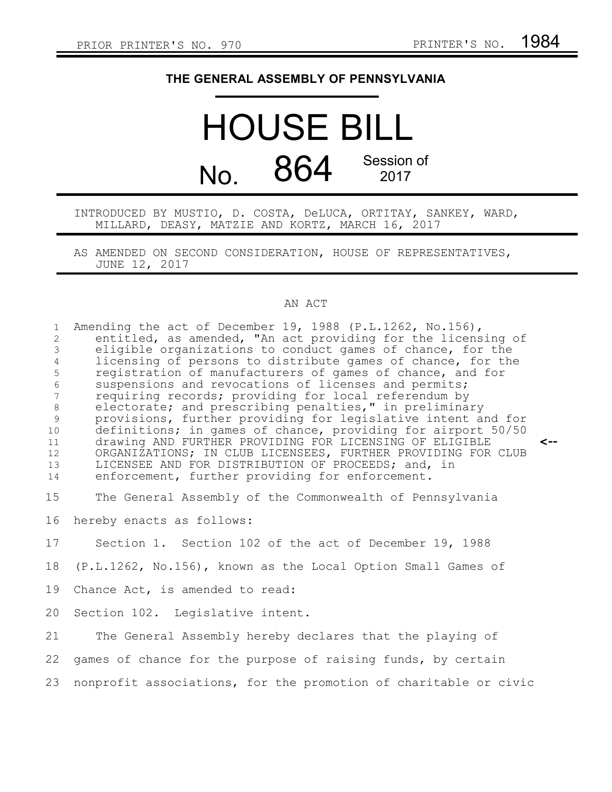## **THE GENERAL ASSEMBLY OF PENNSYLVANIA**

## HOUSE BILL No. 864 Session of 2017

INTRODUCED BY MUSTIO, D. COSTA, DeLUCA, ORTITAY, SANKEY, WARD, MILLARD, DEASY, MATZIE AND KORTZ, MARCH 16, 2017

AS AMENDED ON SECOND CONSIDERATION, HOUSE OF REPRESENTATIVES, JUNE 12, 2017

## AN ACT

| $\mathbf{1}$<br>$\overline{2}$<br>$\mathfrak{Z}$<br>$\overline{4}$<br>5<br>$\epsilon$<br>$7\overline{ }$<br>$\,8\,$<br>9<br>10<br>11<br>12 <sup>°</sup><br>13<br>14 | Amending the act of December 19, 1988 (P.L.1262, No.156),<br>entitled, as amended, "An act providing for the licensing of<br>eligible organizations to conduct games of chance, for the<br>licensing of persons to distribute games of chance, for the<br>registration of manufacturers of games of chance, and for<br>suspensions and revocations of licenses and permits;<br>requiring records; providing for local referendum by<br>electorate; and prescribing penalties," in preliminary<br>provisions, further providing for legislative intent and for<br>definitions; in games of chance, providing for airport 50/50<br>drawing AND FURTHER PROVIDING FOR LICENSING OF ELIGIBLE<br><--<br>ORGANIZATIONS; IN CLUB LICENSEES, FURTHER PROVIDING FOR CLUB<br>LICENSEE AND FOR DISTRIBUTION OF PROCEEDS; and, in<br>enforcement, further providing for enforcement. |
|---------------------------------------------------------------------------------------------------------------------------------------------------------------------|--------------------------------------------------------------------------------------------------------------------------------------------------------------------------------------------------------------------------------------------------------------------------------------------------------------------------------------------------------------------------------------------------------------------------------------------------------------------------------------------------------------------------------------------------------------------------------------------------------------------------------------------------------------------------------------------------------------------------------------------------------------------------------------------------------------------------------------------------------------------------|
| 15                                                                                                                                                                  | The General Assembly of the Commonwealth of Pennsylvania                                                                                                                                                                                                                                                                                                                                                                                                                                                                                                                                                                                                                                                                                                                                                                                                                 |
| 16                                                                                                                                                                  | hereby enacts as follows:                                                                                                                                                                                                                                                                                                                                                                                                                                                                                                                                                                                                                                                                                                                                                                                                                                                |
| 17                                                                                                                                                                  | Section 1. Section 102 of the act of December 19, 1988                                                                                                                                                                                                                                                                                                                                                                                                                                                                                                                                                                                                                                                                                                                                                                                                                   |
| 18                                                                                                                                                                  | (P.L.1262, No.156), known as the Local Option Small Games of                                                                                                                                                                                                                                                                                                                                                                                                                                                                                                                                                                                                                                                                                                                                                                                                             |
| 19                                                                                                                                                                  | Chance Act, is amended to read:                                                                                                                                                                                                                                                                                                                                                                                                                                                                                                                                                                                                                                                                                                                                                                                                                                          |
| 20                                                                                                                                                                  | Section 102. Legislative intent.                                                                                                                                                                                                                                                                                                                                                                                                                                                                                                                                                                                                                                                                                                                                                                                                                                         |
| 21                                                                                                                                                                  | The General Assembly hereby declares that the playing of                                                                                                                                                                                                                                                                                                                                                                                                                                                                                                                                                                                                                                                                                                                                                                                                                 |
| 22                                                                                                                                                                  | games of chance for the purpose of raising funds, by certain                                                                                                                                                                                                                                                                                                                                                                                                                                                                                                                                                                                                                                                                                                                                                                                                             |
| 23                                                                                                                                                                  | nonprofit associations, for the promotion of charitable or civic                                                                                                                                                                                                                                                                                                                                                                                                                                                                                                                                                                                                                                                                                                                                                                                                         |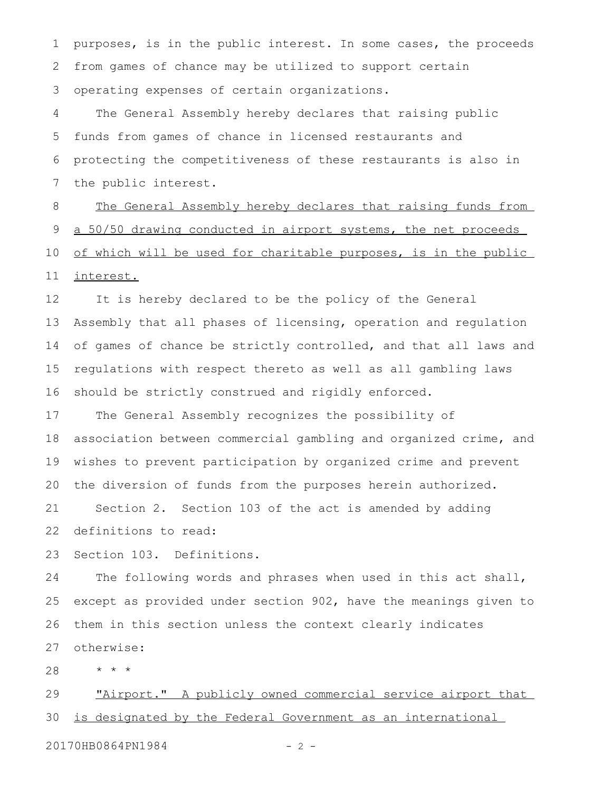purposes, is in the public interest. In some cases, the proceeds from games of chance may be utilized to support certain operating expenses of certain organizations. 1 2 3

The General Assembly hereby declares that raising public funds from games of chance in licensed restaurants and protecting the competitiveness of these restaurants is also in the public interest. 4 5 6 7

The General Assembly hereby declares that raising funds from a 50/50 drawing conducted in airport systems, the net proceeds of which will be used for charitable purposes, is in the public interest. 8 9 10 11

It is hereby declared to be the policy of the General Assembly that all phases of licensing, operation and regulation of games of chance be strictly controlled, and that all laws and regulations with respect thereto as well as all gambling laws should be strictly construed and rigidly enforced. 12 13 14 15 16

The General Assembly recognizes the possibility of association between commercial gambling and organized crime, and wishes to prevent participation by organized crime and prevent the diversion of funds from the purposes herein authorized. Section 2. Section 103 of the act is amended by adding 17 18 19 20 21

definitions to read: 22

Section 103. Definitions. 23

The following words and phrases when used in this act shall, except as provided under section 902, have the meanings given to them in this section unless the context clearly indicates otherwise: 24 25 26 27

\* \* \* 28

"Airport." A publicly owned commercial service airport that is designated by the Federal Government as an international 29 30

20170HB0864PN1984 - 2 -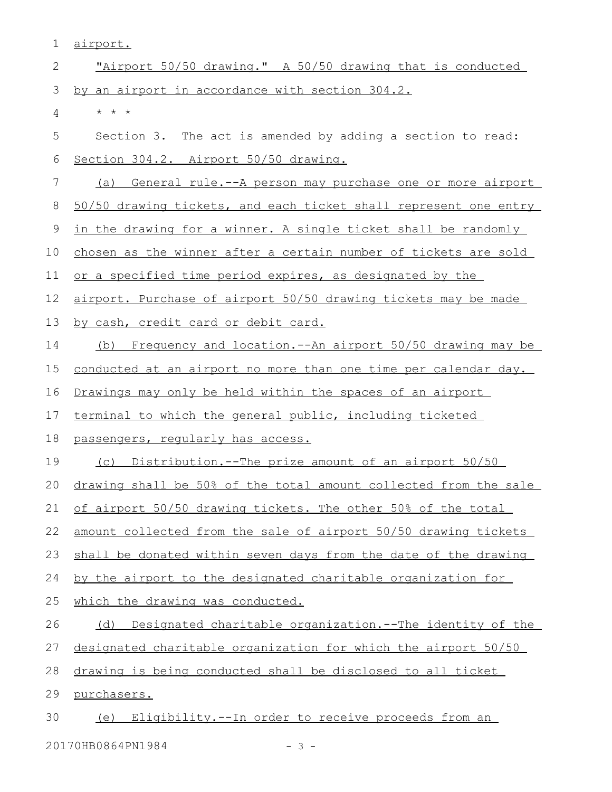| 1  | airport.                                                          |
|----|-------------------------------------------------------------------|
| 2  | "Airport 50/50 drawing." A 50/50 drawing that is conducted        |
| 3  | by an airport in accordance with section 304.2.                   |
| 4  | $\star$ $\star$ $\star$                                           |
| 5  | Section 3. The act is amended by adding a section to read:        |
| 6  | Section 304.2. Airport 50/50 drawing.                             |
| 7  | (a) General rule.--A person may purchase one or more airport      |
| 8  | 50/50 drawing tickets, and each ticket shall represent one entry  |
| 9  | in the drawing for a winner. A single ticket shall be randomly    |
| 10 | chosen as the winner after a certain number of tickets are sold   |
| 11 | or a specified time period expires, as designated by the          |
| 12 | airport. Purchase of airport 50/50 drawing tickets may be made    |
| 13 | by cash, credit card or debit card.                               |
| 14 | (b) Frequency and location.--An airport 50/50 drawing may be      |
| 15 | conducted at an airport no more than one time per calendar day.   |
| 16 | Drawings may only be held within the spaces of an airport         |
| 17 | terminal to which the general public, including ticketed          |
| 18 | passengers, regularly has access.                                 |
| 19 | <u>Distribution.--The prize amount of an airport 50/50</u><br>(C) |
| 20 | drawing shall be 50% of the total amount collected from the sale  |
| 21 | of airport 50/50 drawing tickets. The other 50% of the total      |
| 22 | amount collected from the sale of airport 50/50 drawing tickets   |
| 23 | shall be donated within seven days from the date of the drawing   |
| 24 | by the airport to the designated charitable organization for      |
| 25 | which the drawing was conducted.                                  |
| 26 | (d) Designated charitable organization.--The identity of the      |
| 27 | designated charitable organization for which the airport 50/50    |
| 28 | drawing is being conducted shall be disclosed to all ticket       |
| 29 | purchasers.                                                       |
| 30 | (e) Eligibility.--In order to receive proceeds from an            |

20170HB0864PN1984 - 3 -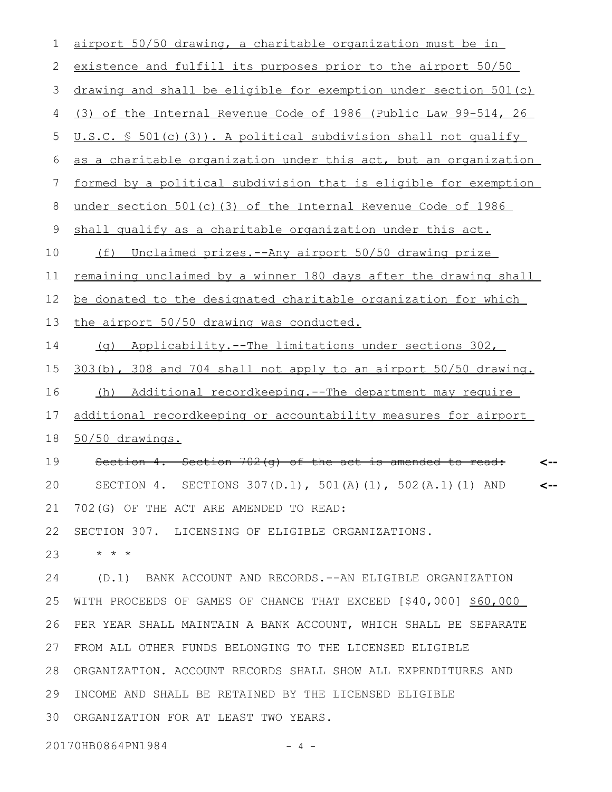airport 50/50 drawing, a charitable organization must be in existence and fulfill its purposes prior to the airport 50/50 drawing and shall be eligible for exemption under section 501(c) (3) of the Internal Revenue Code of 1986 (Public Law 99-514, 26 U.S.C. § 501(c)(3)). A political subdivision shall not qualify as a charitable organization under this act, but an organization formed by a political subdivision that is eligible for exemption under section 501(c)(3) of the Internal Revenue Code of 1986 shall qualify as a charitable organization under this act. (f) Unclaimed prizes.--Any airport 50/50 drawing prize remaining unclaimed by a winner 180 days after the drawing shall be donated to the designated charitable organization for which the airport 50/50 drawing was conducted. (g) Applicability.--The limitations under sections 302, 303(b), 308 and 704 shall not apply to an airport 50/50 drawing. (h) Additional recordkeeping.--The department may require additional recordkeeping or accountability measures for airport 50/50 drawings. Section 4. Section 702(g) of the act is amended to read: SECTION 4. SECTIONS 307(D.1), 501(A)(1), 502(A.1)(1) AND 702(G) OF THE ACT ARE AMENDED TO READ: SECTION 307. LICENSING OF ELIGIBLE ORGANIZATIONS. \* \* \* (D.1) BANK ACCOUNT AND RECORDS.--AN ELIGIBLE ORGANIZATION WITH PROCEEDS OF GAMES OF CHANCE THAT EXCEED [\$40,000] \$60,000 PER YEAR SHALL MAINTAIN A BANK ACCOUNT, WHICH SHALL BE SEPARATE FROM ALL OTHER FUNDS BELONGING TO THE LICENSED ELIGIBLE ORGANIZATION. ACCOUNT RECORDS SHALL SHOW ALL EXPENDITURES AND INCOME AND SHALL BE RETAINED BY THE LICENSED ELIGIBLE 30 ORGANIZATION FOR AT LEAST TWO YEARS. **<-- <--** 1 2 3 4 5 6 7 8 9 10 11 12 13 14 15 16 17 18 19 20 21 22 23 24 25 26 27 28 29

20170HB0864PN1984 - 4 -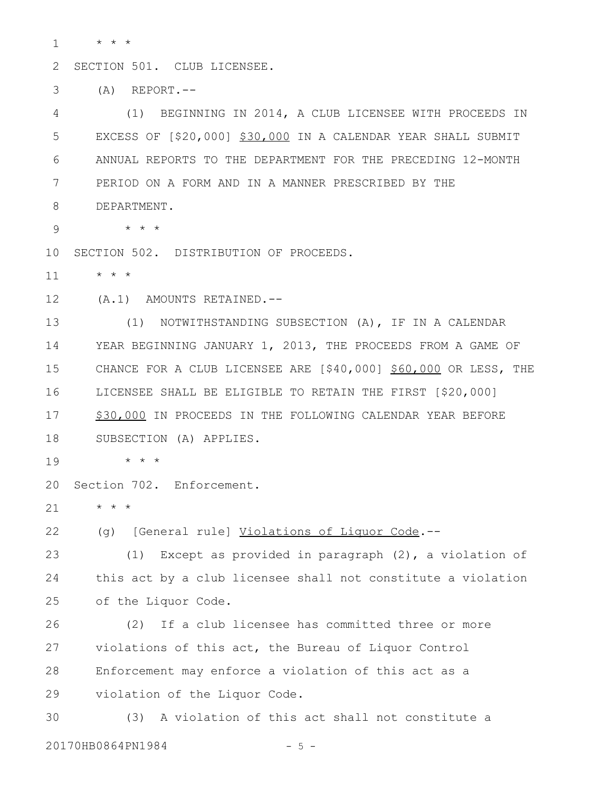\* \* \* 1

SECTION 501. CLUB LICENSEE. 2

 $(A)$  REPORT.--3

(1) BEGINNING IN 2014, A CLUB LICENSEE WITH PROCEEDS IN EXCESS OF [\$20,000] \$30,000 IN A CALENDAR YEAR SHALL SUBMIT ANNUAL REPORTS TO THE DEPARTMENT FOR THE PRECEDING 12-MONTH PERIOD ON A FORM AND IN A MANNER PRESCRIBED BY THE DEPARTMENT. 4 5 6 7 8

9

10 SECTION 502. DISTRIBUTION OF PROCEEDS.

\* \* \* 11

(A.1) AMOUNTS RETAINED.-- 12

\* \* \*

(1) NOTWITHSTANDING SUBSECTION (A), IF IN A CALENDAR YEAR BEGINNING JANUARY 1, 2013, THE PROCEEDS FROM A GAME OF CHANCE FOR A CLUB LICENSEE ARE [\$40,000] \$60,000 OR LESS, THE LICENSEE SHALL BE ELIGIBLE TO RETAIN THE FIRST [\$20,000] \$30,000 IN PROCEEDS IN THE FOLLOWING CALENDAR YEAR BEFORE SUBSECTION (A) APPLIES. 13 14 15 16 17 18

\* \* \* 19

Section 702. Enforcement. 20

 $\star$   $\hspace{0.1cm} \star$   $\hspace{0.1cm} \star$ 21

(g) [General rule] Violations of Liquor Code.-- 22

(1) Except as provided in paragraph (2), a violation of this act by a club licensee shall not constitute a violation of the Liquor Code. 23 24 25

(2) If a club licensee has committed three or more violations of this act, the Bureau of Liquor Control Enforcement may enforce a violation of this act as a violation of the Liquor Code. 26 27 28 29

(3) A violation of this act shall not constitute a 20170HB0864PN1984 - 5 -30